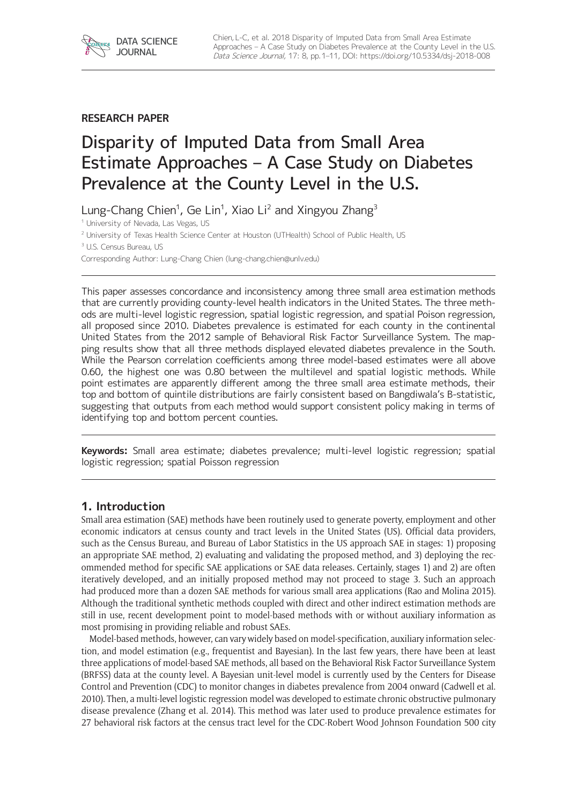**RESEARCH PAPER**

*S U*

# Disparity of Imputed Data from Small Area Estimate Approaches – A Case Study on Diabetes Prevalence at the County Level in the U.S.

Lung-Chang Chien<sup>1</sup>, Ge Lin<sup>1</sup>, Xiao Li<sup>2</sup> and Xingyou Zhang<sup>3</sup>

<sup>1</sup> University of Nevada, Las Vegas, US

<sup>2</sup> University of Texas Health Science Center at Houston (UTHealth) School of Public Health, US

<sup>3</sup> U.S. Census Bureau, US

Corresponding Author: Lung-Chang Chien ([lung-chang.chien@unlv.edu\)](mailto:lung-chang.chien@unlv.edu)

This paper assesses concordance and inconsistency among three small area estimation methods that are currently providing county-level health indicators in the United States. The three methods are multi-level logistic regression, spatial logistic regression, and spatial Poison regression, all proposed since 2010. Diabetes prevalence is estimated for each county in the continental United States from the 2012 sample of Behavioral Risk Factor Surveillance System. The mapping results show that all three methods displayed elevated diabetes prevalence in the South. While the Pearson correlation coefficients among three model-based estimates were all above 0.60, the highest one was 0.80 between the multilevel and spatial logistic methods. While point estimates are apparently different among the three small area estimate methods, their top and bottom of quintile distributions are fairly consistent based on Bangdiwala's B-statistic, suggesting that outputs from each method would support consistent policy making in terms of identifying top and bottom percent counties.

**Keywords:** Small area estimate; diabetes prevalence; multi-level logistic regression; spatial logistic regression; spatial Poisson regression

# **1. Introduction**

Small area estimation (SAE) methods have been routinely used to generate poverty, employment and other economic indicators at census county and tract levels in the United States (US). Official data providers, such as the Census Bureau, and Bureau of Labor Statistics in the US approach SAE in stages: 1) proposing an appropriate SAE method, 2) evaluating and validating the proposed method, and 3) deploying the recommended method for specific SAE applications or SAE data releases. Certainly, stages 1) and 2) are often iteratively developed, and an initially proposed method may not proceed to stage 3. Such an approach had produced more than a dozen SAE methods for various small area applications (Rao and Molina 2015). Although the traditional synthetic methods coupled with direct and other indirect estimation methods are still in use, recent development point to model-based methods with or without auxiliary information as most promising in providing reliable and robust SAEs.

Model-based methods, however, can vary widely based on model-specification, auxiliary information selection, and model estimation (e.g., frequentist and Bayesian). In the last few years, there have been at least three applications of model-based SAE methods, all based on the Behavioral Risk Factor Surveillance System (BRFSS) data at the county level. A Bayesian unit-level model is currently used by the Centers for Disease Control and Prevention (CDC) to monitor changes in diabetes prevalence from 2004 onward (Cadwell et al. 2010). Then, a multi-level logistic regression model was developed to estimate chronic obstructive pulmonary disease prevalence (Zhang et al. 2014). This method was later used to produce prevalence estimates for 27 behavioral risk factors at the census tract level for the CDC-Robert Wood Johnson Foundation 500 city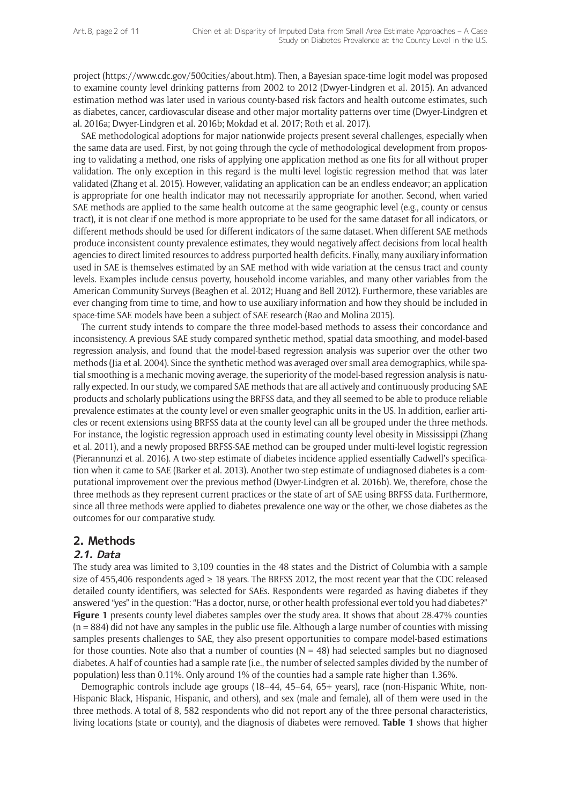project [\(https://www.cdc.gov/500cities/about.htm](https://www.cdc.gov/500cities/about.htm)). Then, a Bayesian space-time logit model was proposed to examine county level drinking patterns from 2002 to 2012 (Dwyer-Lindgren et al. 2015). An advanced estimation method was later used in various county-based risk factors and health outcome estimates, such as diabetes, cancer, cardiovascular disease and other major mortality patterns over time (Dwyer-Lindgren et al. 2016a; Dwyer-Lindgren et al. 2016b; Mokdad et al. 2017; Roth et al. 2017).

SAE methodological adoptions for major nationwide projects present several challenges, especially when the same data are used. First, by not going through the cycle of methodological development from proposing to validating a method, one risks of applying one application method as one fits for all without proper validation. The only exception in this regard is the multi-level logistic regression method that was later validated (Zhang et al. 2015). However, validating an application can be an endless endeavor; an application is appropriate for one health indicator may not necessarily appropriate for another. Second, when varied SAE methods are applied to the same health outcome at the same geographic level (e.g., county or census tract), it is not clear if one method is more appropriate to be used for the same dataset for all indicators, or different methods should be used for different indicators of the same dataset. When different SAE methods produce inconsistent county prevalence estimates, they would negatively affect decisions from local health agencies to direct limited resources to address purported health deficits. Finally, many auxiliary information used in SAE is themselves estimated by an SAE method with wide variation at the census tract and county levels. Examples include census poverty, household income variables, and many other variables from the American Community Surveys (Beaghen et al. 2012; Huang and Bell 2012). Furthermore, these variables are ever changing from time to time, and how to use auxiliary information and how they should be included in space-time SAE models have been a subject of SAE research (Rao and Molina 2015).

The current study intends to compare the three model-based methods to assess their concordance and inconsistency. A previous SAE study compared synthetic method, spatial data smoothing, and model-based regression analysis, and found that the model-based regression analysis was superior over the other two methods (Jia et al. 2004). Since the synthetic method was averaged over small area demographics, while spatial smoothing is a mechanic moving average, the superiority of the model-based regression analysis is naturally expected. In our study, we compared SAE methods that are all actively and continuously producing SAE products and scholarly publications using the BRFSS data, and they all seemed to be able to produce reliable prevalence estimates at the county level or even smaller geographic units in the US. In addition, earlier articles or recent extensions using BRFSS data at the county level can all be grouped under the three methods. For instance, the logistic regression approach used in estimating county level obesity in Mississippi (Zhang et al. 2011), and a newly proposed BRFSS-SAE method can be grouped under multi-level logistic regression (Pierannunzi et al. 2016). A two-step estimate of diabetes incidence applied essentially Cadwell's specification when it came to SAE (Barker et al. 2013). Another two-step estimate of undiagnosed diabetes is a computational improvement over the previous method (Dwyer-Lindgren et al. 2016b). We, therefore, chose the three methods as they represent current practices or the state of art of SAE using BRFSS data. Furthermore, since all three methods were applied to diabetes prevalence one way or the other, we chose diabetes as the outcomes for our comparative study.

# **2. Methods**

# **2.1. Data**

The study area was limited to 3,109 counties in the 48 states and the District of Columbia with a sample size of 455,406 respondents aged  $\geq$  18 years. The BRFSS 2012, the most recent year that the CDC released detailed county identifiers, was selected for SAEs. Respondents were regarded as having diabetes if they answered "yes" in the question: "Has a doctor, nurse, or other health professional ever told you had diabetes?" Figure 1 presents county level diabetes samples over the study area. It shows that about 28.47% counties  $(n = 884)$  did not have any samples in the public use file. Although a large number of counties with missing samples presents challenges to SAE, they also present opportunities to compare model-based estimations for those counties. Note also that a number of counties  $(N = 48)$  had selected samples but no diagnosed diabetes. A half of counties had a sample rate (i.e., the number of selected samples divided by the number of population) less than 0.11%. Only around 1% of the counties had a sample rate higher than 1.36%.

Demographic controls include age groups (18–44, 45–64, 65+ years), race (non-Hispanic White, non-Hispanic Black, Hispanic, Hispanic, and others), and sex (male and female), all of them were used in the three methods. A total of 8, 582 respondents who did not report any of the three personal characteristics, living locations (state or county), and the diagnosis of diabetes were removed. **Table 1** shows that higher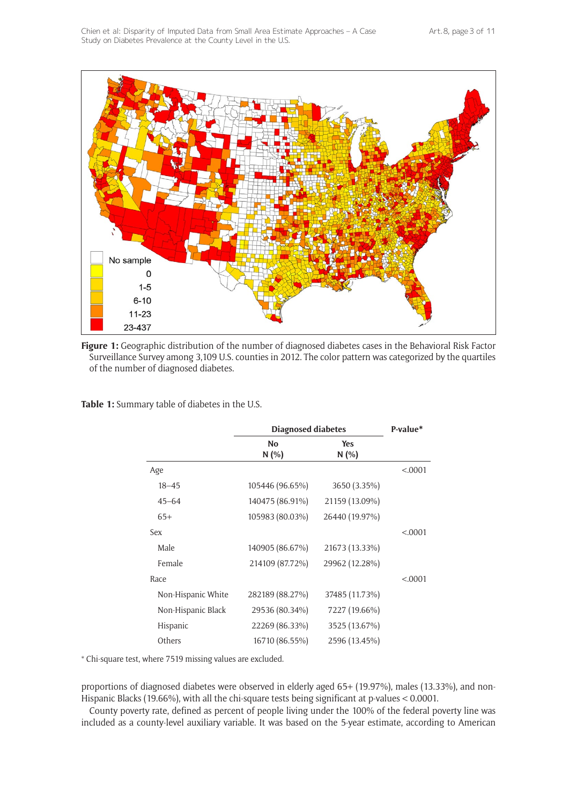

**Figure 1:** Geographic distribution of the number of diagnosed diabetes cases in the Behavioral Risk Factor Surveillance Survey among 3,109 U.S. counties in 2012. The color pattern was categorized by the quartiles of the number of diagnosed diabetes.

**Table 1:** Summary table of diabetes in the U.S.

|                    | <b>Diagnosed diabetes</b> | P-value*       |          |
|--------------------|---------------------------|----------------|----------|
|                    | <b>No</b>                 | <b>Yes</b>     |          |
|                    | N(%)                      | N(%)           |          |
| Age                |                           |                | < 0.0001 |
| $18 - 45$          | 105446 (96.65%)           | 3650 (3.35%)   |          |
| $45 - 64$          | 140475 (86.91%)           | 21159 (13.09%) |          |
| $65+$              | 105983 (80.03%)           | 26440 (19.97%) |          |
| Sex                |                           |                | < .0001  |
| Male               | 140905 (86.67%)           | 21673 (13.33%) |          |
| Female             | 214109 (87.72%)           | 29962 (12.28%) |          |
| Race               |                           |                | < 0.0001 |
| Non-Hispanic White | 282189 (88.27%)           | 37485 (11.73%) |          |
| Non-Hispanic Black | 29536 (80.34%)            | 7227 (19.66%)  |          |
| Hispanic           | 22269 (86.33%)            | 3525 (13.67%)  |          |
| Others             | 16710 (86.55%)            | 2596 (13.45%)  |          |

\* Chi-square test, where 7519 missing values are excluded.

proportions of diagnosed diabetes were observed in elderly aged 65+ (19.97%), males (13.33%), and non-Hispanic Blacks (19.66%), with all the chi-square tests being significant at p-values < 0.0001.

County poverty rate, defined as percent of people living under the 100% of the federal poverty line was included as a county-level auxiliary variable. It was based on the 5-year estimate, according to American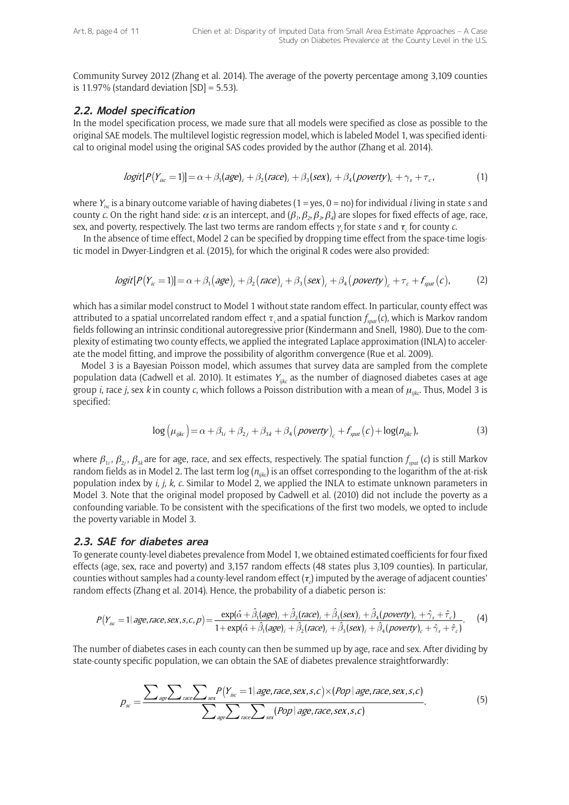Community Survey 2012 (Zhang et al. 2014). The average of the poverty percentage among 3,109 counties is 11.97% (standard deviation  $[SD] = 5.53$ ).

#### **2.2. Model specification**

In the model specification process, we made sure that all models were specified as close as possible to the original SAE models. The multilevel logistic regression model, which is labeled Model 1, was specified identical to original model using the original SAS codes provided by the author (Zhang et al. 2014).

$$
logit[P(Y_{\text{isc}}=1)]=\alpha+\beta_1(age)_i+\beta_2{(race)}_i+\beta_3(sex)_i+\beta_4(povery)_c+\gamma_s+\tau_c,
$$
\n(1)

where *Yisc* is a binary outcome variable of having diabetes (1 = yes, 0 = no) for individual *i* living in state *s* and county *c*. On the right hand side:  $\alpha$  is an intercept, and  $(\beta_1, \beta_2, \beta_3, \beta_4)$  are slopes for fixed effects of age, race, sex, and poverty, respectively. The last two terms are random effects <sup>γ</sup>*<sup>s</sup>* for state *s* and <sup>τ</sup>*<sup>c</sup>* for county *c*.

 In the absence of time effect, Model 2 can be specified by dropping time effect from the space-time logistic model in Dwyer-Lindgren et al. (2015), for which the original R codes were also provided:

$$
logit[P(Yic = 1)] = \alpha + \beta_1 (age)j + \beta_2 (race)j + \beta_3 (sex)j + \beta_4 (powerly)c + \tau_c + fspat(c),
$$
 (2)

which has a similar model construct to Model 1 without state random effect. In particular, county effect was attributed to a spatial uncorrelated random effect *τc* and a spatial function *fspat* (*c*), which is Markov random fields following an intrinsic conditional autoregressive prior (Kindermann and Snell, 1980). Due to the complexity of estimating two county effects, we applied the integrated Laplace approximation (INLA) to accelerate the model fitting, and improve the possibility of algorithm convergence (Rue et al. 2009).

Model 3 is a Bayesian Poisson model, which assumes that survey data are sampled from the complete population data (Cadwell et al. 2010). It estimates *Yijkc* as the number of diagnosed diabetes cases at age group *i*, race *j*, sex *k* in county *c*, which follows a Poisson distribution with a mean of <sup>µ</sup>*ijkc*. Thus, Model 3 is specified:

$$
\log \left(\mu_{ijkc}\right) = \alpha + \beta_{1i} + \beta_{2j} + \beta_{3k} + \beta_4 \left(\text{poverty}\right)_c + f_{\text{spat}}(c) + \log(n_{ijkc}),\tag{3}
$$

where  $\beta_{1i}$ ,  $\beta_{2i}$ ,  $\beta_{3k}$  are for age, race, and sex effects, respectively. The spatial function  $f_{\text{spat}}(c)$  is still Markov random fields as in Model 2. The last term  $\log(n_{ijkc})$  is an offset corresponding to the logarithm of the at-risk population index by *i, j, k, c*. Similar to Model 2, we applied the INLA to estimate unknown parameters in Model 3. Note that the original model proposed by Cadwell et al. (2010) did not include the poverty as a confounding variable. To be consistent with the specifications of the first two models, we opted to include the poverty variable in Model 3.

#### **2.3. SAE for diabetes area**

To generate county-level diabetes prevalence from Model 1, we obtained estimated coefficients for four fixed effects (age, sex, race and poverty) and 3,157 random effects (48 states plus 3,109 counties). In particular, counties without samples had a county-level random effect ( $\tau_c$ ) imputed by the average of adjacent counties' random effects (Zhang et al. 2014). Hence, the probability of a diabetic person is:

$$
P(Y_{\text{isc}} = 1 | age, race, sex, s, c, p) = \frac{\exp(\hat{\alpha} + \hat{\beta}_1(age)_i + \hat{\beta}_2(race)_i + \hat{\beta}_3(sex)_i + \hat{\beta}_4(poverty)_c + \hat{\gamma}_s + \hat{\tau}_c)}{1 + \exp(\hat{\alpha} + \hat{\beta}_1(age)_i + \hat{\beta}_2(race)_i + \hat{\beta}_3(sex)_i + \hat{\beta}_4(poverty)_c + \hat{\gamma}_s + \hat{\tau}_c)}.
$$
(4)

The number of diabetes cases in each county can then be summed up by age, race and sex. After dividing by state-county specific population, we can obtain the SAE of diabetes prevalence straightforwardly:

$$
p_{sc} = \frac{\sum_{age}\sum_{race}\sum_{sex}P(Y_{isc}=1|age, race, sex, s, c) \times (Pop | age, race, sex, s, c)}{\sum_{age}\sum_{race}\sum_{sex} (Pop | age, race, sex, s, c)}.
$$
(5)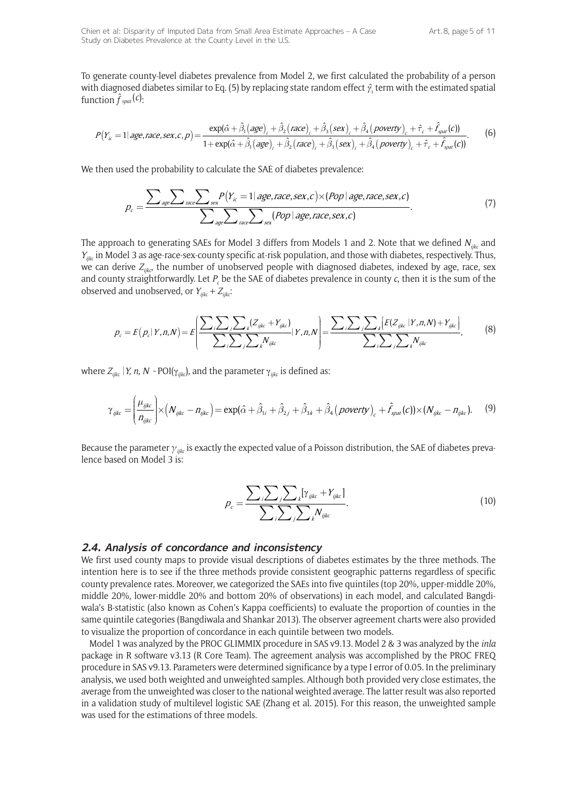To generate county-level diabetes prevalence from Model 2, we first calculated the probability of a person with diagnosed diabetes similar to Eq. (5) by replacing state random effect γ*ˆs* term with the estimated spatial function  $\hat{f}_{\textit{spat}}(c)$ :

$$
P(Y_{ic}=1 \mid age, race, sex, c, p) = \frac{\exp(\hat{\alpha} + \hat{\beta}_1(age)_i + \hat{\beta}_2(race)_i + \hat{\beta}_3(sex)_i + \hat{\beta}_4(powerly)_c + \hat{\tau}_c + \hat{f}_{spat}(c))}{1 + \exp(\hat{\alpha} + \hat{\beta}_1(age)_i + \hat{\beta}_2(race)_i + \hat{\beta}_3(sex)_i + \hat{\beta}_4(powerly)_c + \hat{\tau}_c + \hat{f}_{spat}(c))}.
$$
(6)

We then used the probability to calculate the SAE of diabetes prevalence:

$$
p_c = \frac{\sum_{age}\sum_{race}\sum_{sex}P(Y_{ic}=1|age, race, sex, c) \times (Pop | age, race, sex, c)}{\sum_{age}\sum_{race}\sum_{sex}(Pop | age, race, sex, c)}.
$$
(7)

The approach to generating SAEs for Model 3 differs from Models 1 and 2. Note that we defined *Nijkc* and *Yijkc* in Model 3 as age-race-sex-county specific at-risk population, and those with diabetes, respectively. Thus, we can derive  $Z_{iik}$  the number of unobserved people with diagnosed diabetes, indexed by age, race, sex and county straightforwardly. Let  $P_c$  be the SAE of diabetes prevalence in county  $c$ , then it is the sum of the observed and unobserved, or  $Y_{iikc} + Z_{iikc}$ .

$$
p_c = E(p_c|Y,n,N) = E\left[\frac{\sum_{i} \sum_{j} \sum_{k} (Z_{ijkc} + Y_{ijkc})}{\sum_{i} \sum_{j} \sum_{k} N_{ijkc}}|Y,n,N\right] = \frac{\sum_{i} \sum_{j} \sum_{k} [E(Z_{ijkc}|Y,n,N) + Y_{ijkc}]}{\sum_{i} \sum_{j} \sum_{k} N_{ijkc}},
$$
(8)

where  $Z_{ijkc}$  |*Y, n, N* ~ POI( $\gamma_{jikc}$ ), and the parameter  $\gamma_{jikc}$  is defined as:

$$
\gamma_{ijkc} = \left(\frac{\mu_{ijkc}}{n_{ijkc}}\right) \times \left(N_{ijkc} - n_{ijkc}\right) = \exp(\hat{\alpha} + \hat{\beta}_{1i} + \hat{\beta}_{2j} + \hat{\beta}_{3k} + \hat{\beta}_4 \left(\text{povery}\right)_c + \hat{f}_{\text{spat}}(c)\right) \times \left(N_{ijkc} - n_{ijkc}\right). \tag{9}
$$

Because the parameter *γijkc* is exactly the expected value of a Poisson distribution, the SAE of diabetes prevalence based on Model 3 is:

$$
p_c = \frac{\sum_{i} \sum_{j} \sum_{k} [\gamma_{ijkc} + Y_{ijkc}]}{\sum_{i} \sum_{j} \sum_{k} N_{ijkc}}.
$$
 (10)

#### **2.4. Analysis of concordance and inconsistency**

We first used county maps to provide visual descriptions of diabetes estimates by the three methods. The intention here is to see if the three methods provide consistent geographic patterns regardless of specific county prevalence rates. Moreover, we categorized the SAEs into five quintiles (top 20%, upper-middle 20%, middle 20%, lower-middle 20% and bottom 20% of observations) in each model, and calculated Bangdiwala's B-statistic (also known as Cohen's Kappa coefficients) to evaluate the proportion of counties in the same quintile categories (Bangdiwala and Shankar 2013). The observer agreement charts were also provided to visualize the proportion of concordance in each quintile between two models.

Model 1 was analyzed by the PROC GLIMMIX procedure in SAS v9.13. Model 2 & 3 was analyzed by the *inla* package in R software v3.13 (R Core Team). The agreement analysis was accomplished by the PROC FREQ procedure in SAS v9.13. Parameters were determined significance by a type I error of 0.05. In the preliminary analysis, we used both weighted and unweighted samples. Although both provided very close estimates, the average from the unweighted was closer to the national weighted average. The latter result was also reported in a validation study of multilevel logistic SAE (Zhang et al. 2015). For this reason, the unweighted sample was used for the estimations of three models.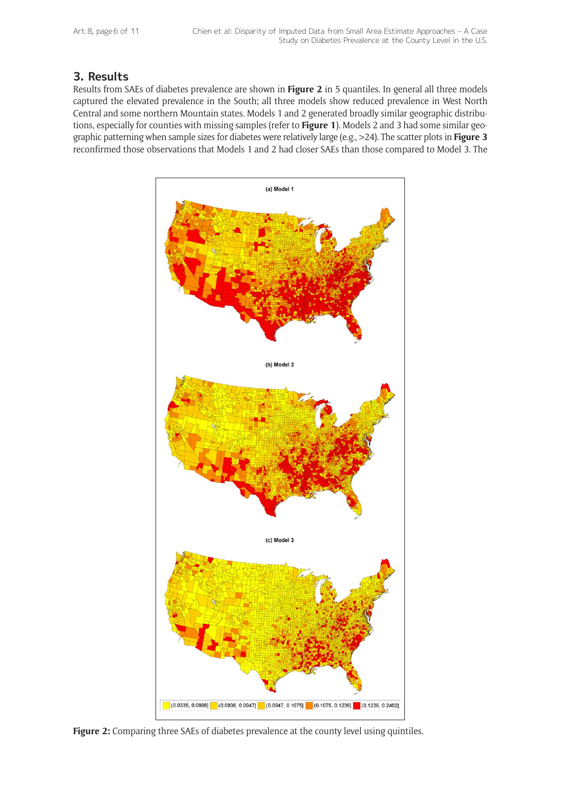Art. 8, page 6 of 11

# **3. Results**

Results from SAEs of diabetes prevalence are shown in **Figure 2** in 5 quantiles. In general all three models captured the elevated prevalence in the South; all three models show reduced prevalence in West North Central and some northern Mountain states. Models 1 and 2 generated broadly similar geographic distributions, especially for counties with missing samples (refer to **Figure 1**). Models 2 and 3 had some similar geographic patterning when sample sizes for diabetes were relatively large (e.g., >24). The scatter plots in **Figure 3** reconfirmed those observations that Models 1 and 2 had closer SAEs than those compared to Model 3. The



Figure 2: Comparing three SAEs of diabetes prevalence at the county level using quintiles.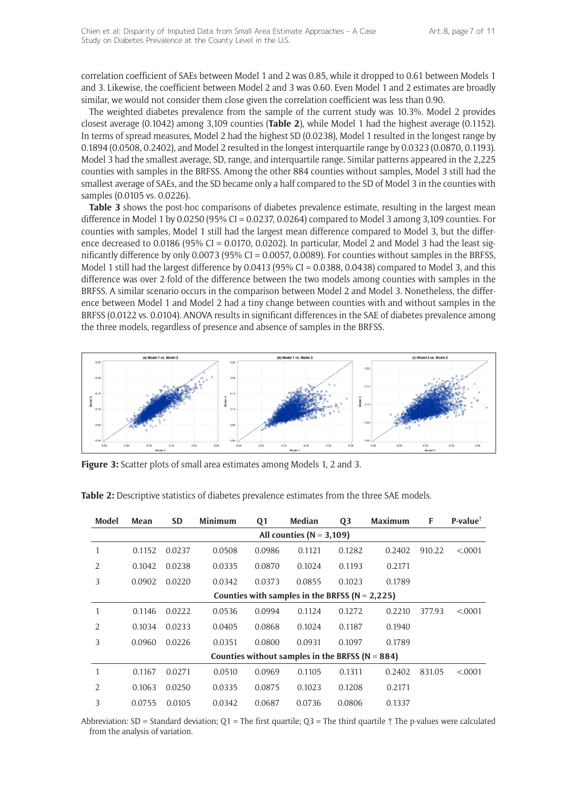correlation coefficient of SAEs between Model 1 and 2 was 0.85, while it dropped to 0.61 between Models 1 and 3. Likewise, the coefficient between Model 2 and 3 was 0.60. Even Model 1 and 2 estimates are broadly similar, we would not consider them close given the correlation coefficient was less than 0.90.

The weighted diabetes prevalence from the sample of the current study was 10.3%. Model 2 provides closest average (0.1042) among 3,109 counties (**Table 2**), while Model 1 had the highest average (0.1152). In terms of spread measures, Model 2 had the highest SD (0.0238), Model 1 resulted in the longest range by 0.1894 (0.0508, 0.2402), and Model 2 resulted in the longest interquartile range by 0.0323 (0.0870, 0.1193). Model 3 had the smallest average, SD, range, and interquartile range. Similar patterns appeared in the 2,225 counties with samples in the BRFSS. Among the other 884 counties without samples, Model 3 still had the smallest average of SAEs, and the SD became only a half compared to the SD of Model 3 in the counties with samples (0.0105 vs. 0.0226).

**Table 3** shows the post-hoc comparisons of diabetes prevalence estimate, resulting in the largest mean difference in Model 1 by 0.0250 (95% CI = 0.0237, 0.0264) compared to Model 3 among 3,109 counties. For counties with samples, Model 1 still had the largest mean difference compared to Model 3, but the difference decreased to 0.0186 (95% CI = 0.0170, 0.0202). In particular, Model 2 and Model 3 had the least significantly difference by only 0.0073 (95% CI = 0.0057, 0.0089). For counties without samples in the BRFSS, Model 1 still had the largest difference by 0.0413 (95% CI = 0.0388, 0.0438) compared to Model 3, and this difference was over 2-fold of the difference between the two models among counties with samples in the BRFSS. A similar scenario occurs in the comparison between Model 2 and Model 3. Nonetheless, the difference between Model 1 and Model 2 had a tiny change between counties with and without samples in the BRFSS (0.0122 vs. 0.0104). ANOVA results in significant differences in the SAE of diabetes prevalence among the three models, regardless of presence and absence of samples in the BRFSS.



**Figure 3:** Scatter plots of small area estimates among Models 1, 2 and 3.

| Model                                               | Mean   | <b>SD</b> | Minimum | Q <sub>1</sub> | Median | Q <sub>3</sub> | Maximum | F      | $P-value^{\dagger}$ |
|-----------------------------------------------------|--------|-----------|---------|----------------|--------|----------------|---------|--------|---------------------|
| All counties ( $N = 3,109$ )                        |        |           |         |                |        |                |         |        |                     |
|                                                     | 0.1152 | 0.0237    | 0.0508  | 0.0986         | 0.1121 | 0.1282         | 0.2402  | 910.22 | < .0001             |
| 2                                                   | 0.1042 | 0.0238    | 0.0335  | 0.0870         | 0.1024 | 0.1193         | 0.2171  |        |                     |
| 3                                                   | 0.0902 | 0.0220    | 0.0342  | 0.0373         | 0.0855 | 0.1023         | 0.1789  |        |                     |
| Counties with samples in the BRFSS ( $N = 2,225$ )  |        |           |         |                |        |                |         |        |                     |
| 1                                                   | 0.1146 | 0.0222    | 0.0536  | 0.0994         | 0.1124 | 0.1272         | 0.2210  | 377.93 | < 0.0001            |
| 2                                                   | 0.1034 | 0.0233    | 0.0405  | 0.0868         | 0.1024 | 0.1187         | 0.1940  |        |                     |
| 3                                                   | 0.0960 | 0.0226    | 0.0351  | 0.0800         | 0.0931 | 0.1097         | 0.1789  |        |                     |
| Counties without samples in the BRFSS ( $N = 884$ ) |        |           |         |                |        |                |         |        |                     |
| 1                                                   | 0.1167 | 0.0271    | 0.0510  | 0.0969         | 0.1105 | 0.1311         | 0.2402  | 831.05 | < .0001             |
| $\mathcal{L}$                                       | 0.1063 | 0.0250    | 0.0335  | 0.0875         | 0.1023 | 0.1208         | 0.2171  |        |                     |
| 3                                                   | 0.0755 | 0.0105    | 0.0342  | 0.0687         | 0.0736 | 0.0806         | 0.1337  |        |                     |

**Table 2:** Descriptive statistics of diabetes prevalence estimates from the three SAE models.

Abbreviation:  $SD =$  Standard deviation;  $Q1 =$  The first quartile;  $Q3 =$  The third quartile  $\uparrow$  The p-values were calculated from the analysis of variation.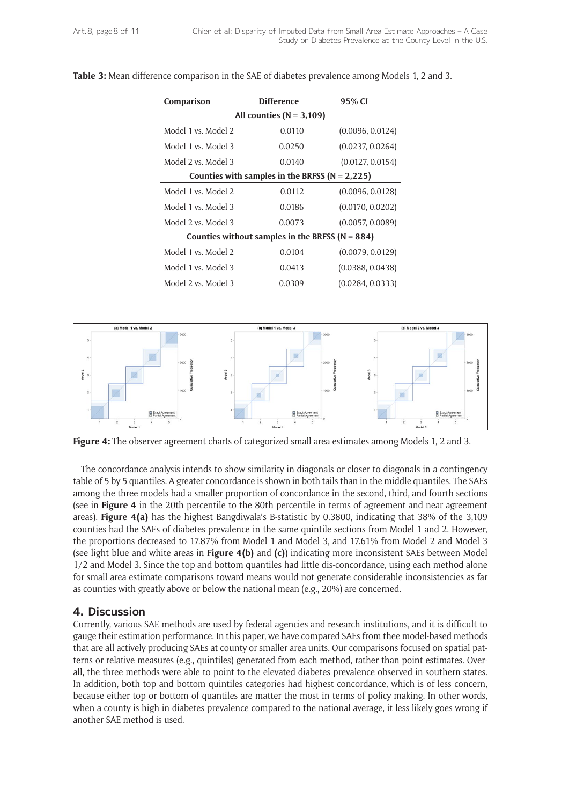| Comparison                                          | <b>Difference</b> |                  |  |  |  |  |  |  |
|-----------------------------------------------------|-------------------|------------------|--|--|--|--|--|--|
| All counties ( $N = 3,109$ )                        |                   |                  |  |  |  |  |  |  |
| Model 1 vs. Model 2                                 | 0.0110            | (0.0096, 0.0124) |  |  |  |  |  |  |
| Model 1 vs. Model 3                                 | 0.0250            | (0.0237, 0.0264) |  |  |  |  |  |  |
| Model 2 vs. Model 3                                 | 0.0140            | (0.0127, 0.0154) |  |  |  |  |  |  |
| Counties with samples in the BRFSS ( $N = 2,225$ )  |                   |                  |  |  |  |  |  |  |
| Model 1 vs. Model 2                                 | 0.0112            | (0.0096, 0.0128) |  |  |  |  |  |  |
| Model 1 vs. Model 3                                 | 0.0186            | (0.0170, 0.0202) |  |  |  |  |  |  |
| Model 2 vs. Model 3                                 | 0.0073            | (0.0057, 0.0089) |  |  |  |  |  |  |
| Counties without samples in the BRFSS ( $N = 884$ ) |                   |                  |  |  |  |  |  |  |
| Model 1 vs. Model 2                                 | 0.0104            | (0.0079, 0.0129) |  |  |  |  |  |  |
| Model 1 vs. Model 3                                 | 0.0413            | (0.0388, 0.0438) |  |  |  |  |  |  |
| Model 2 vs. Model 3                                 | 0.0309            | (0.0284, 0.0333) |  |  |  |  |  |  |

#### **Table 3:** Mean difference comparison in the SAE of diabetes prevalence among Models 1, 2 and 3.



**Figure 4:** The observer agreement charts of categorized small area estimates among Models 1, 2 and 3.

The concordance analysis intends to show similarity in diagonals or closer to diagonals in a contingency table of 5 by 5 quantiles. A greater concordance is shown in both tails than in the middle quantiles. The SAEs among the three models had a smaller proportion of concordance in the second, third, and fourth sections (see in **Figure 4** in the 20th percentile to the 80th percentile in terms of agreement and near agreement areas). **Figure 4(a)** has the highest Bangdiwala's B-statistic by 0.3800, indicating that 38% of the 3,109 counties had the SAEs of diabetes prevalence in the same quintile sections from Model 1 and 2. However, the proportions decreased to 17.87% from Model 1 and Model 3, and 17.61% from Model 2 and Model 3 (see light blue and white areas in **Figure 4(b)** and **(c)**) indicating more inconsistent SAEs between Model 1/2 and Model 3. Since the top and bottom quantiles had little dis-concordance, using each method alone for small area estimate comparisons toward means would not generate considerable inconsistencies as far as counties with greatly above or below the national mean (e.g., 20%) are concerned.

#### **4. Discussion**

Currently, various SAE methods are used by federal agencies and research institutions, and it is difficult to gauge their estimation performance. In this paper, we have compared SAEs from thee model-based methods that are all actively producing SAEs at county or smaller area units. Our comparisons focused on spatial patterns or relative measures (e.g., quintiles) generated from each method, rather than point estimates. Overall, the three methods were able to point to the elevated diabetes prevalence observed in southern states. In addition, both top and bottom quintiles categories had highest concordance, which is of less concern, because either top or bottom of quantiles are matter the most in terms of policy making. In other words, when a county is high in diabetes prevalence compared to the national average, it less likely goes wrong if another SAE method is used.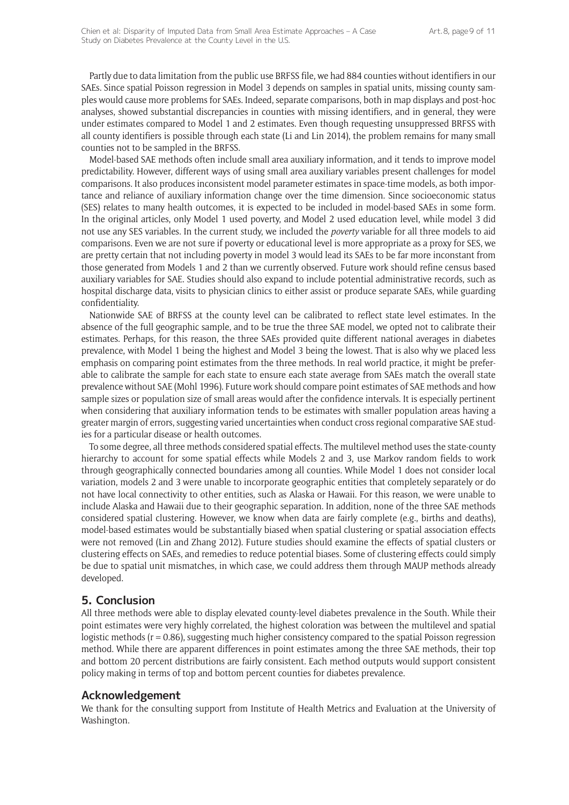Partly due to data limitation from the public use BRFSS file, we had 884 counties without identifiers in our SAEs. Since spatial Poisson regression in Model 3 depends on samples in spatial units, missing county samples would cause more problems for SAEs. Indeed, separate comparisons, both in map displays and post-hoc analyses, showed substantial discrepancies in counties with missing identifiers, and in general, they were under estimates compared to Model 1 and 2 estimates. Even though requesting unsuppressed BRFSS with all county identifiers is possible through each state (Li and Lin 2014), the problem remains for many small counties not to be sampled in the BRFSS.

Model-based SAE methods often include small area auxiliary information, and it tends to improve model predictability. However, different ways of using small area auxiliary variables present challenges for model comparisons. It also produces inconsistent model parameter estimates in space-time models, as both importance and reliance of auxiliary information change over the time dimension. Since socioeconomic status (SES) relates to many health outcomes, it is expected to be included in model-based SAEs in some form. In the original articles, only Model 1 used poverty, and Model 2 used education level, while model 3 did not use any SES variables. In the current study, we included the *poverty* variable for all three models to aid comparisons. Even we are not sure if poverty or educational level is more appropriate as a proxy for SES, we are pretty certain that not including poverty in model 3 would lead its SAEs to be far more inconstant from those generated from Models 1 and 2 than we currently observed. Future work should refine census based auxiliary variables for SAE. Studies should also expand to include potential administrative records, such as hospital discharge data, visits to physician clinics to either assist or produce separate SAEs, while guarding confidentiality.

Nationwide SAE of BRFSS at the county level can be calibrated to reflect state level estimates. In the absence of the full geographic sample, and to be true the three SAE model, we opted not to calibrate their estimates. Perhaps, for this reason, the three SAEs provided quite different national averages in diabetes prevalence, with Model 1 being the highest and Model 3 being the lowest. That is also why we placed less emphasis on comparing point estimates from the three methods. In real world practice, it might be preferable to calibrate the sample for each state to ensure each state average from SAEs match the overall state prevalence without SAE (Mohl 1996). Future work should compare point estimates of SAE methods and how sample sizes or population size of small areas would after the confidence intervals. It is especially pertinent when considering that auxiliary information tends to be estimates with smaller population areas having a greater margin of errors, suggesting varied uncertainties when conduct cross regional comparative SAE studies for a particular disease or health outcomes.

To some degree, all three methods considered spatial effects. The multilevel method uses the state-county hierarchy to account for some spatial effects while Models 2 and 3, use Markov random fields to work through geographically connected boundaries among all counties. While Model 1 does not consider local variation, models 2 and 3 were unable to incorporate geographic entities that completely separately or do not have local connectivity to other entities, such as Alaska or Hawaii. For this reason, we were unable to include Alaska and Hawaii due to their geographic separation. In addition, none of the three SAE methods considered spatial clustering. However, we know when data are fairly complete (e.g., births and deaths), model-based estimates would be substantially biased when spatial clustering or spatial association effects were not removed (Lin and Zhang 2012). Future studies should examine the effects of spatial clusters or clustering effects on SAEs, and remedies to reduce potential biases. Some of clustering effects could simply be due to spatial unit mismatches, in which case, we could address them through MAUP methods already developed.

### **5. Conclusion**

All three methods were able to display elevated county-level diabetes prevalence in the South. While their point estimates were very highly correlated, the highest coloration was between the multilevel and spatial logistic methods (r = 0.86), suggesting much higher consistency compared to the spatial Poisson regression method. While there are apparent differences in point estimates among the three SAE methods, their top and bottom 20 percent distributions are fairly consistent. Each method outputs would support consistent policy making in terms of top and bottom percent counties for diabetes prevalence.

# **Acknowledgement**

We thank for the consulting support from Institute of Health Metrics and Evaluation at the University of Washington.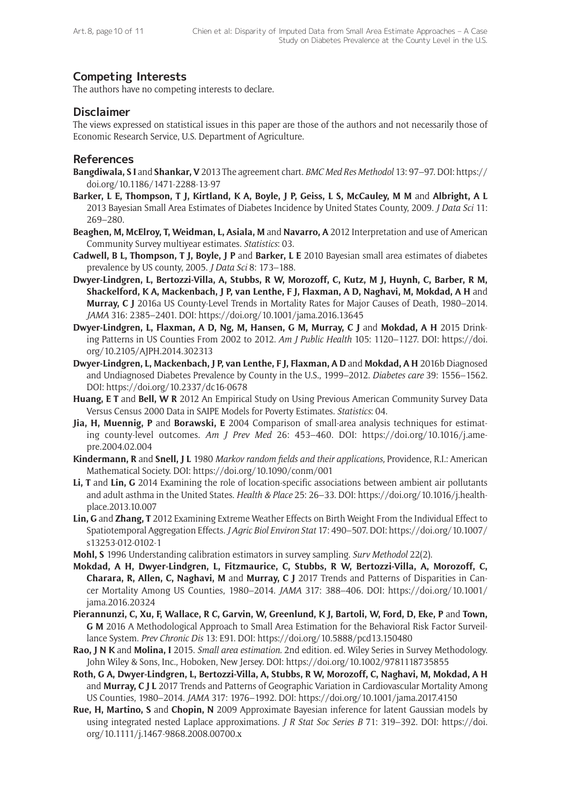# **Competing Interests**

The authors have no competing interests to declare.

# **Disclaimer**

The views expressed on statistical issues in this paper are those of the authors and not necessarily those of Economic Research Service, U.S. Department of Agriculture.

### **References**

- **Bangdiwala, S I** and **Shankar, V** 2013 The agreement chart. *BMC Med Res Methodol* 13: 97–97. DOI: [https://](https://doi.org/10.1186/1471-2288-13-97) [doi.org/10.1186/1471-2288-13-97](https://doi.org/10.1186/1471-2288-13-97)
- **Barker, L E, Thompson, T J, Kirtland, K A, Boyle, J P, Geiss, L S, McCauley, M M** and **Albright, A L**  2013 Bayesian Small Area Estimates of Diabetes Incidence by United States County, 2009. *J Data Sci* 11: 269–280.
- **Beaghen, M, McElroy, T, Weidman, L, Asiala, M** and **Navarro, A** 2012 Interpretation and use of American Community Survey multiyear estimates. *Statistics*: 03.
- **Cadwell, B L, Thompson, T J, Boyle, J P** and **Barker, L E** 2010 Bayesian small area estimates of diabetes prevalence by US county, 2005. *J Data Sci* 8: 173–188.
- **Dwyer-Lindgren, L, Bertozzi-Villa, A, Stubbs, R W, Morozoff, C, Kutz, M J, Huynh, C, Barber, R M, Shackelford, K A, Mackenbach, J P, van Lenthe, F J, Flaxman, A D, Naghavi, M, Mokdad, A H** and **Murray, C J** 2016a US County-Level Trends in Mortality Rates for Major Causes of Death, 1980–2014. *JAMA* 316: 2385–2401. DOI: <https://doi.org/10.1001/jama.2016.13645>
- **Dwyer-Lindgren, L, Flaxman, A D, Ng, M, Hansen, G M, Murray, C J** and **Mokdad, A H** 2015 Drinking Patterns in US Counties From 2002 to 2012. *Am J Public Health* 105: 1120–1127. DOI: [https://doi.](https://doi.org/10.2105/AJPH.2014.302313) [org/10.2105/AJPH.2014.302313](https://doi.org/10.2105/AJPH.2014.302313)
- **Dwyer-Lindgren, L, Mackenbach, J P, van Lenthe, F J, Flaxman, A D** and **Mokdad, A H** 2016b Diagnosed and Undiagnosed Diabetes Prevalence by County in the U.S., 1999–2012. *Diabetes care* 39: 1556–1562. DOI:<https://doi.org/10.2337/dc16-0678>
- **Huang, E T** and **Bell, W R** 2012 An Empirical Study on Using Previous American Community Survey Data Versus Census 2000 Data in SAIPE Models for Poverty Estimates. *Statistics*: 04.
- **Jia, H, Muennig, P** and **Borawski, E** 2004 Comparison of small-area analysis techniques for estimating county-level outcomes. *Am J Prev Med* 26: 453–460. DOI: [https://doi.org/10.1016/j.ame](https://doi.org/10.1016/j.amepre.2004.02.004)[pre.2004.02.004](https://doi.org/10.1016/j.amepre.2004.02.004)
- **Kindermann, R** and **Snell, J L** 1980 *Markov random fields and their applications,* Providence, R.I.: American Mathematical Society. DOI: <https://doi.org/10.1090/conm/001>
- **Li, T** and **Lin, G** 2014 Examining the role of location-specific associations between ambient air pollutants and adult asthma in the United States. *Health & Place* 25: 26–33. DOI: [https://doi.org/10.1016/j.health](https://doi.org/10.1016/j.healthplace.2013.10.007 )[place.2013.10.007](https://doi.org/10.1016/j.healthplace.2013.10.007 )
- **Lin, G** and **Zhang, T** 2012 Examining Extreme Weather Effects on Birth Weight From the Individual Effect to Spatiotemporal Aggregation Effects. *J Agric Biol Environ Stat* 17: 490–507. DOI: [https://doi.org/10.1007/](https://doi.org/10.1007/s13253-012-0102-1) [s13253-012-0102-1](https://doi.org/10.1007/s13253-012-0102-1)
- **Mohl, S** 1996 Understanding calibration estimators in survey sampling. *Surv Methodol* 22(2).
- **Mokdad, A H, Dwyer-Lindgren, L, Fitzmaurice, C, Stubbs, R W, Bertozzi-Villa, A, Morozoff, C, Charara, R, Allen, C, Naghavi, M** and **Murray, C J** 2017 Trends and Patterns of Disparities in Cancer Mortality Among US Counties, 1980–2014. *JAMA* 317: 388–406. DOI: [https://doi.org/10.1001/](https://doi.org/10.1001/jama.2016.20324 ) [jama.2016.20324](https://doi.org/10.1001/jama.2016.20324 )
- **Pierannunzi, C, Xu, F, Wallace, R C, Garvin, W, Greenlund, K J, Bartoli, W, Ford, D, Eke, P** and **Town, G M** 2016 A Methodological Approach to Small Area Estimation for the Behavioral Risk Factor Surveillance System. *Prev Chronic Dis* 13: E91. DOI:<https://doi.org/10.5888/pcd13.150480>
- **Rao, J N K** and **Molina, I** 2015. *Small area estimation.* 2nd edition. ed. Wiley Series in Survey Methodology. John Wiley & Sons, Inc., Hoboken, New Jersey. DOI:<https://doi.org/10.1002/9781118735855>
- **Roth, G A, Dwyer-Lindgren, L, Bertozzi-Villa, A, Stubbs, R W, Morozoff, C, Naghavi, M, Mokdad, A H**  and **Murray, C J L** 2017 Trends and Patterns of Geographic Variation in Cardiovascular Mortality Among US Counties, 1980–2014. *JAMA* 317: 1976–1992. DOI:<https://doi.org/10.1001/jama.2017.4150>
- **Rue, H, Martino, S** and **Chopin, N** 2009 Approximate Bayesian inference for latent Gaussian models by using integrated nested Laplace approximations. *J R Stat Soc Series B* 71: 319–392. DOI: [https://doi.](https://doi.org/10.1111/j.1467-9868.2008.00700.x) [org/10.1111/j.1467-9868.2008.00700.x](https://doi.org/10.1111/j.1467-9868.2008.00700.x)